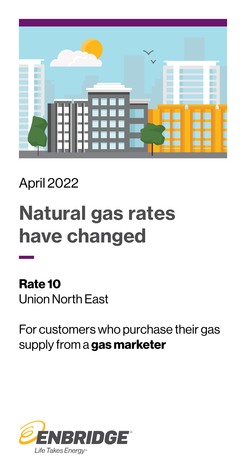

### April 2022

# Natural gas rates have changed

Rate 10 Union North East

For customers who purchase their gas supply from a gas marketer

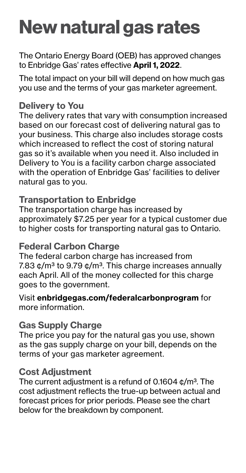## New natural gas rates

The Ontario Energy Board (OEB) has approved changes to Enbridge Gas' rates effective April 1, 2022.

The total impact on your bill will depend on how much gas you use and the terms of your gas marketer agreement.

#### Delivery to You

The delivery rates that vary with consumption increased based on our forecast cost of delivering natural gas to your business. This charge also includes storage costs which increased to reflect the cost of storing natural gas so it's available when you need it. Also included in Delivery to You is a facility carbon charge associated with the operation of Enbridge Gas' facilities to deliver natural gas to you.

#### Transportation to Enbridge

The transportation charge has increased by approximately \$7.25 per year for a typical customer due to higher costs for transporting natural gas to Ontario.

#### Federal Carbon Charge

The federal carbon charge has increased from 7.83  $\phi$ /m<sup>3</sup> to 9.79  $\phi$ /m<sup>3</sup>. This charge increases annually each April. All of the money collected for this charge goes to the government.

Visit [enbridgegas.com/federalcarbonprogram](http://enbridgegas.com/federalcarbonprogram) for more information.

#### Gas Supply Charge

The price you pay for the natural gas you use, shown as the gas supply charge on your bill, depends on the terms of your gas marketer agreement.

#### Cost Adjustment

The current adjustment is a refund of 0.1604  $\phi/m^3$ . The cost adjustment reflects the true-up between actual and forecast prices for prior periods. Please see the chart below for the breakdown by component.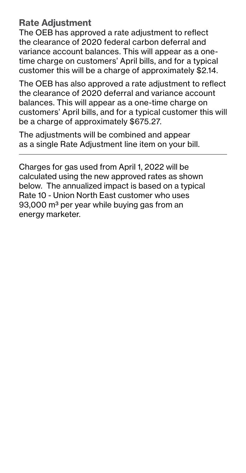#### Rate Adjustment

The OEB has approved a rate adjustment to reflect the clearance of 2020 federal carbon deferral and variance account balances. This will appear as a onetime charge on customers' April bills, and for a typical customer this will be a charge of approximately \$2.14.

The OEB has also approved a rate adjustment to reflect the clearance of 2020 deferral and variance account balances. This will appear as a one-time charge on customers' April bills, and for a typical customer this will be a charge of approximately \$675.27.

The adjustments will be combined and appear as a single Rate Adjustment line item on your bill.

Charges for gas used from April 1, 2022 will be calculated using the new approved rates as shown below. The annualized impact is based on a typical Rate 10 - Union North East customer who uses 93,000 m<sup>3</sup> per year while buying gas from an energy marketer.